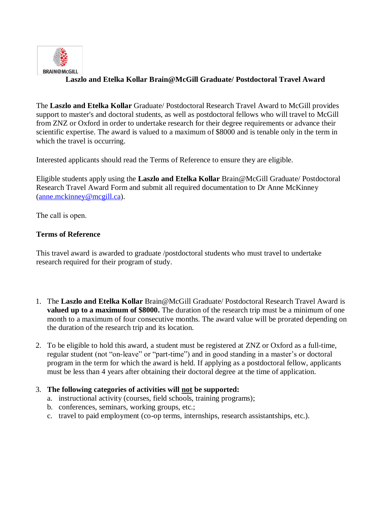

## **Laszlo and Etelka Kollar Brain@McGill Graduate/ Postdoctoral Travel Award**

The **Laszlo and Etelka Kollar** Graduate/ Postdoctoral Research Travel Award to McGill provides support to master's and doctoral students, as well as postdoctoral fellows who will travel to McGill from ZNZ or Oxford in order to undertake research for their degree requirements or advance their scientific expertise. The award is valued to a maximum of \$8000 and is tenable only in the term in which the travel is occurring.

Interested applicants should read the Terms of Reference to ensure they are eligible.

Eligible students apply using the **Laszlo and Etelka Kollar** Brain@McGill [Graduate/ Postdoctoral](http://www.sfu.ca/content/dam/sfu/dean-gradstudies/scholarships/Travel/GIRTA-Application.pdf)  [Research Travel Award Form](http://www.sfu.ca/content/dam/sfu/dean-gradstudies/scholarships/Travel/GIRTA-Application.pdf) and submit all required documentation to Dr Anne McKinney [\(anne.mckinney@mcgill.ca\)](mailto:anne.mckinney@mcgill.ca).

The call is open.

## **Terms of Reference**

This travel award is awarded to graduate /postdoctoral students who must travel to undertake research required for their program of study.

- 1. The **Laszlo and Etelka Kollar** Brain@McGill Graduate/ Postdoctoral Research Travel Award is **valued up to a maximum of \$8000.** The duration of the research trip must be a minimum of one month to a maximum of four consecutive months. The award value will be prorated depending on the duration of the research trip and its location.
- 2. To be eligible to hold this award, a student mu[st be registered at ZNZ or Oxford as a full-time,](http://www.sfu.ca/content/dam/sfu/dean-gradstudies/scholarships/Travel/GIRTA-Application.pdf) regular student (not "on-leave" or "part-time") and in good standing in a master's or doctoral program in the term for which the award is held. If applying as a postdoctoral fellow, applicants must be less than 4 years after obtaining their doctoral degree at the time of application.

## 3. **The following categories of activities will not be supported:**

- a. instructional activity (courses, field schools, training programs);
- b. conferences, seminars, working groups, etc.;
- c. travel to paid employment (co-op terms, internships, research assistantships, etc.).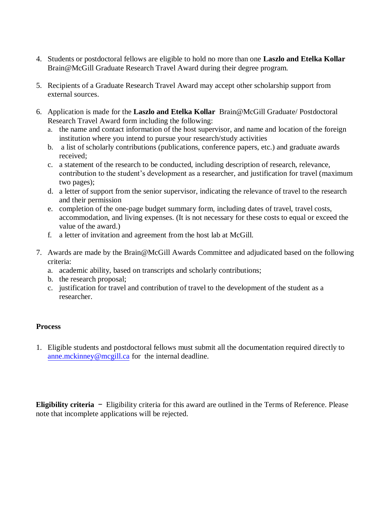- 4. Students or postdoctoral fellows are eligible to hold no more than one **Laszlo and Etelka Kollar** Brain@McGill Graduate Research Travel Award during their degree program.
- 5. Recipients of a Graduate Research Travel Award may accept other scholarship support from external sources.
- 6. Application is made for the **Laszlo and Etelka Kollar** [Brain@McGill Graduate/ Postdoctoral](http://www.sfu.ca/content/dam/sfu/dean-gradstudies/scholarships/Travel/GIRTA-Application.pdf) [Research Travel Award form](http://www.sfu.ca/content/dam/sfu/dean-gradstudies/scholarships/Travel/GIRTA-Application.pdf) including the following:
	- a. the name and contact information of the host supervisor, and name and location of the foreign institution where you intend to pursue your research/study activities
	- b. a list of scholarly contributions (publications, conference papers, etc.) and graduate awards received;
	- c. a statement of the research to be conducted, including description of research, relevance, contribution to the student's development as a researcher, and justification for travel (maximum two pages);
	- d. a letter of support from the senior supervisor, indicating the relevance of travel to the research and their permission
	- e. completion of the one-page budget summary form, including dates of travel, travel costs, accommodation, and living expenses. (It is not necessary for these costs to equal or exceed the value of the award.)
	- f. a letter of invitation and agreement from the host lab at McGill.
- 7. Awards are made by the Brain@McGill Awards Committee and adjudicated based on the following criteria:
	- a. academic ability, based on transcripts and scholarly contributions;
	- b. the research proposal;
	- c. justification for travel and contribution of travel to the development of the student as a researcher.

## **Process**

1. Eligible students and postdoctoral fellows must submit all the documentation required directly to [anne.mckinney@mcgill.ca](mailto:anne.mckinney@mcgill.ca) for the internal deadline.

**Eligibility criteria** - Eligibility criteria for this award are outlined in the Terms of Reference. Please note that incomplete applications will be rejected.